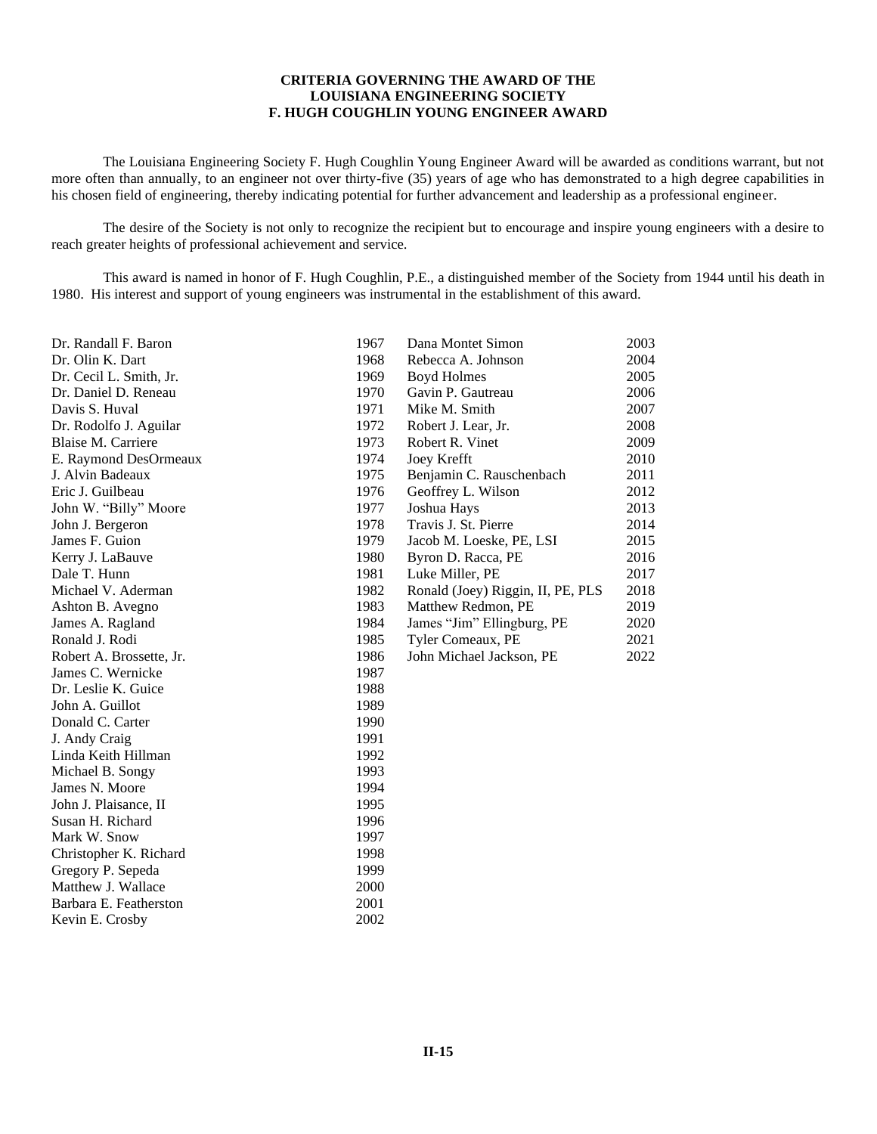## **CRITERIA GOVERNING THE AWARD OF THE LOUISIANA ENGINEERING SOCIETY F. HUGH COUGHLIN YOUNG ENGINEER AWARD**

The Louisiana Engineering Society F. Hugh Coughlin Young Engineer Award will be awarded as conditions warrant, but not more often than annually, to an engineer not over thirty-five (35) years of age who has demonstrated to a high degree capabilities in his chosen field of engineering, thereby indicating potential for further advancement and leadership as a professional engineer.

The desire of the Society is not only to recognize the recipient but to encourage and inspire young engineers with a desire to reach greater heights of professional achievement and service.

This award is named in honor of F. Hugh Coughlin, P.E., a distinguished member of the Society from 1944 until his death in 1980. His interest and support of young engineers was instrumental in the establishment of this award.

| Dr. Randall F. Baron     | 1967 | Dana Montet Simon                 | 2003 |
|--------------------------|------|-----------------------------------|------|
| Dr. Olin K. Dart         | 1968 | Rebecca A. Johnson                | 2004 |
| Dr. Cecil L. Smith, Jr.  | 1969 | <b>Boyd Holmes</b>                | 2005 |
| Dr. Daniel D. Reneau     | 1970 | Gavin P. Gautreau                 | 2006 |
| Davis S. Huval           | 1971 | Mike M. Smith                     | 2007 |
| Dr. Rodolfo J. Aguilar   | 1972 | Robert J. Lear, Jr.               | 2008 |
| Blaise M. Carriere       | 1973 | Robert R. Vinet                   | 2009 |
| E. Raymond DesOrmeaux    | 1974 | Joey Krefft                       | 2010 |
| J. Alvin Badeaux         | 1975 | Benjamin C. Rauschenbach          | 2011 |
| Eric J. Guilbeau         | 1976 | Geoffrey L. Wilson                | 2012 |
| John W. "Billy" Moore    | 1977 | Joshua Hays                       | 2013 |
| John J. Bergeron         | 1978 | Travis J. St. Pierre              | 2014 |
| James F. Guion           | 1979 | Jacob M. Loeske, PE, LSI          | 2015 |
| Kerry J. LaBauve         | 1980 | Byron D. Racca, PE                | 2016 |
| Dale T. Hunn             | 1981 | Luke Miller, PE                   | 2017 |
| Michael V. Aderman       | 1982 | Ronald (Joey) Riggin, II, PE, PLS | 2018 |
| Ashton B. Avegno         | 1983 | Matthew Redmon, PE                | 2019 |
| James A. Ragland         | 1984 | James "Jim" Ellingburg, PE        | 2020 |
| Ronald J. Rodi           | 1985 | Tyler Comeaux, PE                 | 2021 |
| Robert A. Brossette, Jr. | 1986 | John Michael Jackson, PE          | 2022 |
| James C. Wernicke        | 1987 |                                   |      |
| Dr. Leslie K. Guice      | 1988 |                                   |      |
| John A. Guillot          | 1989 |                                   |      |
| Donald C. Carter         | 1990 |                                   |      |
| J. Andy Craig            | 1991 |                                   |      |
| Linda Keith Hillman      | 1992 |                                   |      |
| Michael B. Songy         | 1993 |                                   |      |
| James N. Moore           | 1994 |                                   |      |
| John J. Plaisance, II    | 1995 |                                   |      |
| Susan H. Richard         | 1996 |                                   |      |
| Mark W. Snow             | 1997 |                                   |      |
| Christopher K. Richard   | 1998 |                                   |      |
| Gregory P. Sepeda        | 1999 |                                   |      |
| Matthew J. Wallace       | 2000 |                                   |      |
| Barbara E. Featherston   | 2001 |                                   |      |
| Kevin E. Crosby          | 2002 |                                   |      |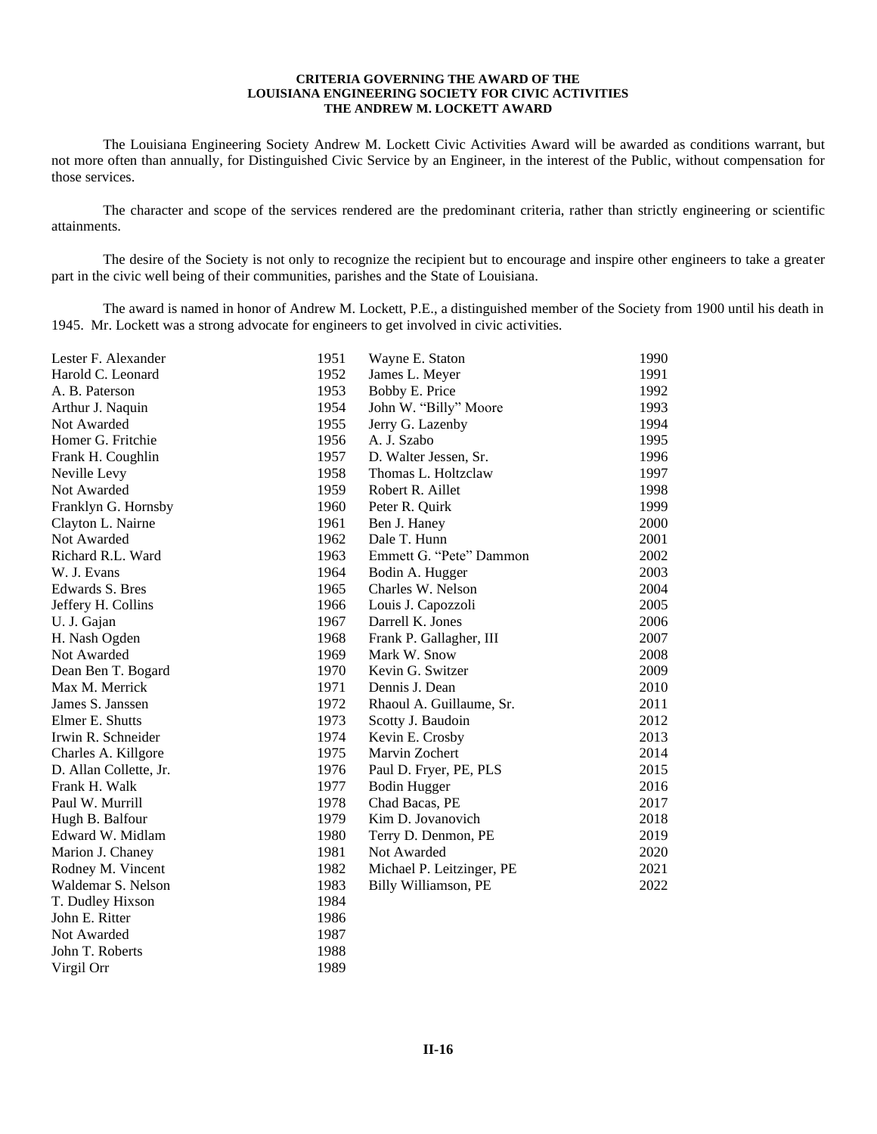#### **CRITERIA GOVERNING THE AWARD OF THE LOUISIANA ENGINEERING SOCIETY FOR CIVIC ACTIVITIES THE ANDREW M. LOCKETT AWARD**

The Louisiana Engineering Society Andrew M. Lockett Civic Activities Award will be awarded as conditions warrant, but not more often than annually, for Distinguished Civic Service by an Engineer, in the interest of the Public, without compensation for those services.

The character and scope of the services rendered are the predominant criteria, rather than strictly engineering or scientific attainments.

The desire of the Society is not only to recognize the recipient but to encourage and inspire other engineers to take a greater part in the civic well being of their communities, parishes and the State of Louisiana.

The award is named in honor of Andrew M. Lockett, P.E., a distinguished member of the Society from 1900 until his death in 1945. Mr. Lockett was a strong advocate for engineers to get involved in civic activities.

| Lester F. Alexander    | 1951<br>Wayne E. Staton           | 1990 |
|------------------------|-----------------------------------|------|
| Harold C. Leonard      | 1952<br>James L. Meyer            | 1991 |
| A. B. Paterson         | 1953<br>Bobby E. Price            | 1992 |
| Arthur J. Naquin       | 1954<br>John W. "Billy" Moore     | 1993 |
| Not Awarded            | 1955<br>Jerry G. Lazenby          | 1994 |
| Homer G. Fritchie      | 1956<br>A. J. Szabo               | 1995 |
| Frank H. Coughlin      | 1957<br>D. Walter Jessen, Sr.     | 1996 |
| Neville Levy           | 1958<br>Thomas L. Holtzclaw       | 1997 |
| Not Awarded            | 1959<br>Robert R. Aillet          | 1998 |
| Franklyn G. Hornsby    | 1960<br>Peter R. Quirk            | 1999 |
| Clayton L. Nairne      | 1961<br>Ben J. Haney              | 2000 |
| Not Awarded            | Dale T. Hunn<br>1962              | 2001 |
| Richard R.L. Ward      | 1963<br>Emmett G. "Pete" Dammon   | 2002 |
| W. J. Evans            | 1964<br>Bodin A. Hugger           | 2003 |
| Edwards S. Bres        | 1965<br>Charles W. Nelson         | 2004 |
| Jeffery H. Collins     | 1966<br>Louis J. Capozzoli        | 2005 |
| U. J. Gajan            | 1967<br>Darrell K. Jones          | 2006 |
| H. Nash Ogden          | 1968<br>Frank P. Gallagher, III   | 2007 |
| Not Awarded            | 1969<br>Mark W. Snow              | 2008 |
| Dean Ben T. Bogard     | 1970<br>Kevin G. Switzer          | 2009 |
| Max M. Merrick         | 1971<br>Dennis J. Dean            | 2010 |
| James S. Janssen       | 1972<br>Rhaoul A. Guillaume, Sr.  | 2011 |
| Elmer E. Shutts        | 1973<br>Scotty J. Baudoin         | 2012 |
| Irwin R. Schneider     | 1974<br>Kevin E. Crosby           | 2013 |
| Charles A. Killgore    | 1975<br>Marvin Zochert            | 2014 |
| D. Allan Collette, Jr. | 1976<br>Paul D. Fryer, PE, PLS    | 2015 |
| Frank H. Walk          | 1977<br><b>Bodin Hugger</b>       | 2016 |
| Paul W. Murrill        | 1978<br>Chad Bacas, PE            | 2017 |
| Hugh B. Balfour        | 1979<br>Kim D. Jovanovich         | 2018 |
| Edward W. Midlam       | 1980<br>Terry D. Denmon, PE       | 2019 |
| Marion J. Chaney       | 1981<br>Not Awarded               | 2020 |
| Rodney M. Vincent      | 1982<br>Michael P. Leitzinger, PE | 2021 |
| Waldemar S. Nelson     | 1983<br>Billy Williamson, PE      | 2022 |
| T. Dudley Hixson       | 1984                              |      |
| John E. Ritter         | 1986                              |      |
| Not Awarded            | 1987                              |      |
| John T. Roberts        | 1988                              |      |
| Virgil Orr             | 1989                              |      |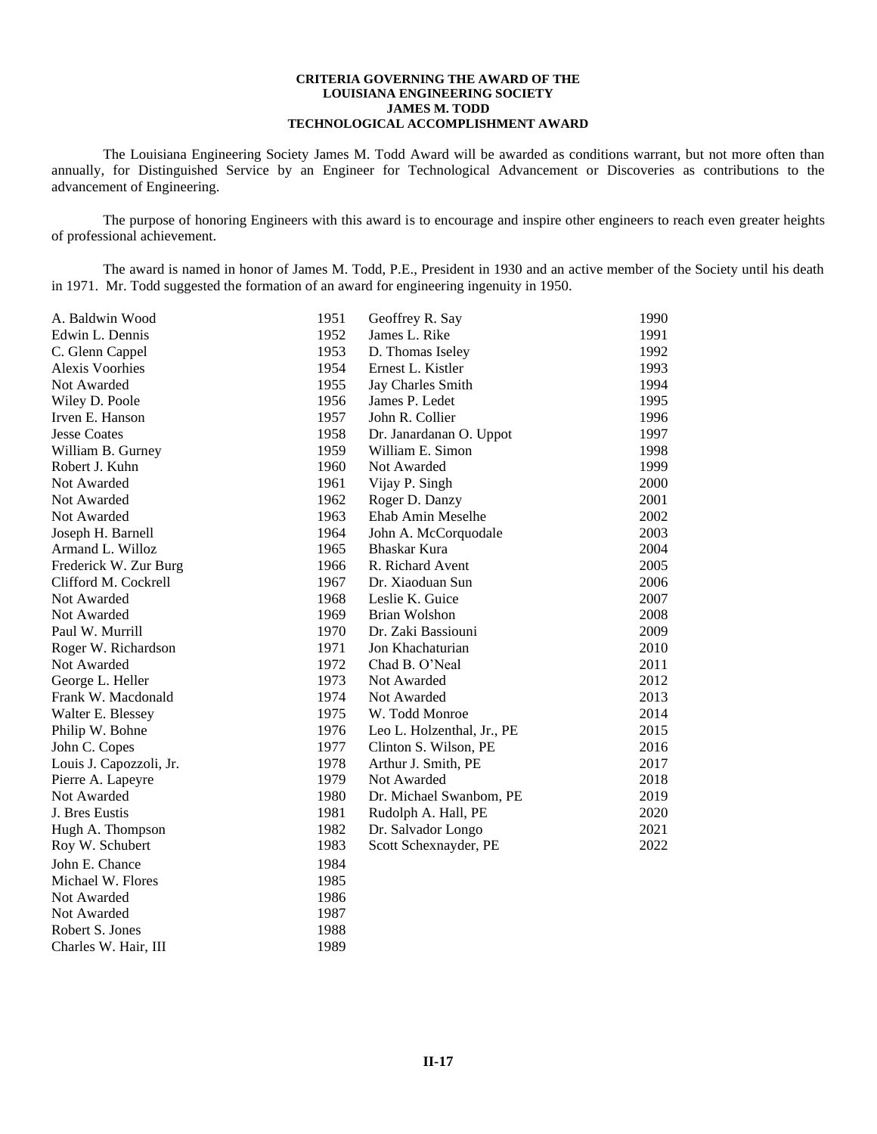### **CRITERIA GOVERNING THE AWARD OF THE LOUISIANA ENGINEERING SOCIETY JAMES M. TODD TECHNOLOGICAL ACCOMPLISHMENT AWARD**

The Louisiana Engineering Society James M. Todd Award will be awarded as conditions warrant, but not more often than annually, for Distinguished Service by an Engineer for Technological Advancement or Discoveries as contributions to the advancement of Engineering.

The purpose of honoring Engineers with this award is to encourage and inspire other engineers to reach even greater heights of professional achievement.

The award is named in honor of James M. Todd, P.E., President in 1930 and an active member of the Society until his death in 1971. Mr. Todd suggested the formation of an award for engineering ingenuity in 1950.

| 1951                      | Geoffrey R. Say            |
|---------------------------|----------------------------|
| A. Baldwin Wood           | 1990                       |
| Edwin L. Dennis           | James L. Rike              |
| 1952                      | 1991                       |
| 1953                      | 1992                       |
| C. Glenn Cappel           | D. Thomas Iseley           |
| <b>Alexis Voorhies</b>    | Ernest L. Kistler          |
| 1954                      | 1993                       |
| Not Awarded               | 1994                       |
| 1955                      | Jay Charles Smith          |
| 1956                      | 1995                       |
| Wiley D. Poole            | James P. Ledet             |
| Irven E. Hanson           | John R. Collier            |
| 1957                      | 1996                       |
| <b>Jesse Coates</b>       | Dr. Janardanan O. Uppot    |
| 1958                      | 1997                       |
| 1959                      | William E. Simon           |
| William B. Gurney         | 1998                       |
| Robert J. Kuhn            | Not Awarded                |
| 1960                      | 1999                       |
| 1961                      | Vijay P. Singh             |
| Not Awarded               | 2000                       |
| Not Awarded               | 2001                       |
| 1962                      | Roger D. Danzy             |
| Not Awarded               | Ehab Amin Meselhe          |
| 1963                      | 2002                       |
| Joseph H. Barnell         | 2003                       |
| 1964                      | John A. McCorquodale       |
| Armand L. Willoz          | Bhaskar Kura               |
| 1965                      | 2004                       |
| Frederick W. Zur Burg     | R. Richard Avent           |
| 1966                      | 2005                       |
| 1967                      | Dr. Xiaoduan Sun           |
| Clifford M. Cockrell      | 2006                       |
| Not Awarded               | Leslie K. Guice            |
| 1968                      | 2007                       |
| Not Awarded               | Brian Wolshon              |
| 1969                      | 2008                       |
| 1970                      | Dr. Zaki Bassiouni         |
| Paul W. Murrill           | 2009                       |
| 1971                      | Jon Khachaturian           |
| Roger W. Richardson       | 2010                       |
| Not Awarded               | Chad B. O'Neal             |
| 1972                      | 2011                       |
| George L. Heller          | Not Awarded                |
| 1973                      | 2012                       |
| Frank W. Macdonald        | Not Awarded                |
| 1974                      | 2013                       |
| 1975                      | 2014                       |
| Walter E. Blessey         | W. Todd Monroe             |
| Philip W. Bohne           | 2015                       |
| 1976                      | Leo L. Holzenthal, Jr., PE |
| John C. Copes             | 2016                       |
| 1977                      | Clinton S. Wilson, PE      |
| Louis J. Capozzoli, Jr.   | 2017                       |
| 1978                      | Arthur J. Smith, PE        |
| Pierre A. Lapeyre         | Not Awarded                |
| 1979                      | 2018                       |
| Not Awarded               | 2019                       |
| 1980                      | Dr. Michael Swanbom, PE    |
| 1981                      | 2020                       |
| J. Bres Eustis            | Rudolph A. Hall, PE        |
| 1982                      | 2021                       |
| Hugh A. Thompson          | Dr. Salvador Longo         |
| Roy W. Schubert           | 2022                       |
| 1983                      | Scott Schexnayder, PE      |
| John E. Chance<br>1984    |                            |
| Michael W. Flores<br>1985 |                            |
| 1986<br>Not Awarded       |                            |
| Not Awarded<br>1987       |                            |
| Robert S. Jones<br>1988   |                            |

Charles W. Hair, III 1989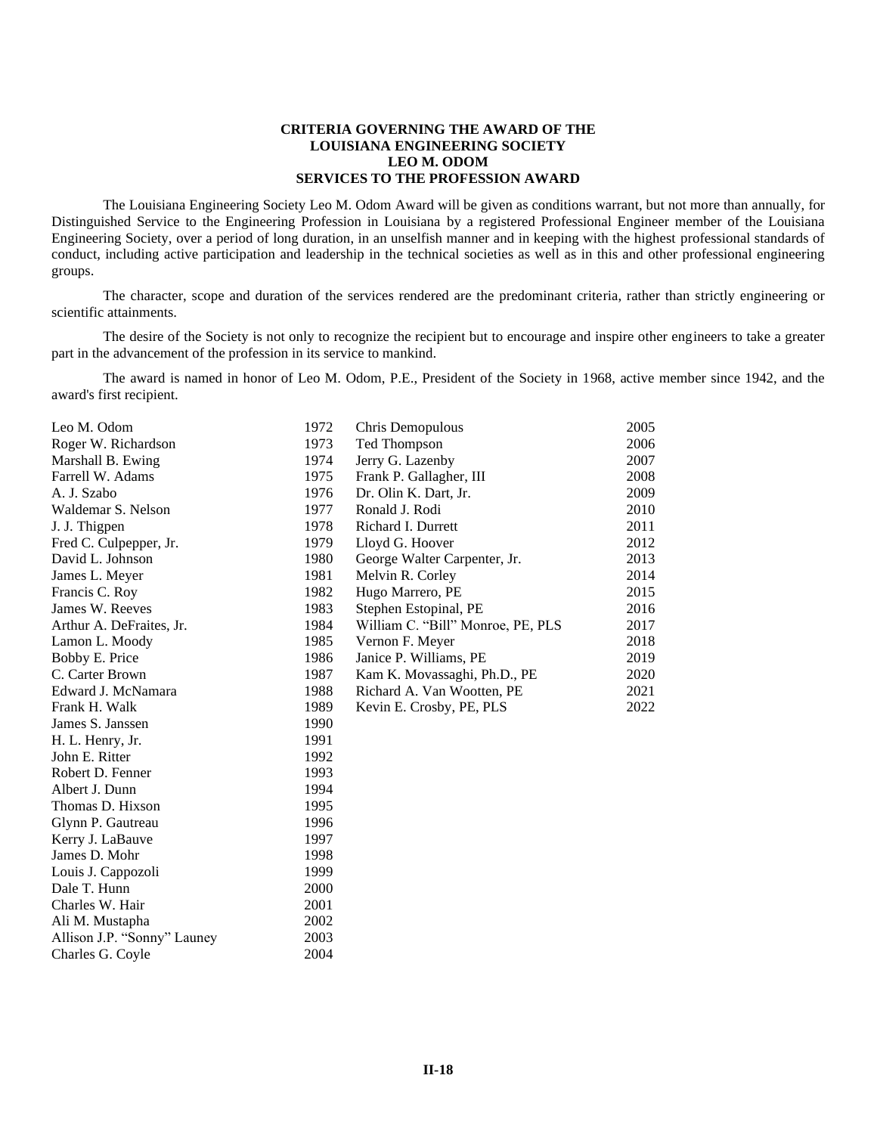# **CRITERIA GOVERNING THE AWARD OF THE LOUISIANA ENGINEERING SOCIETY LEO M. ODOM SERVICES TO THE PROFESSION AWARD**

The Louisiana Engineering Society Leo M. Odom Award will be given as conditions warrant, but not more than annually, for Distinguished Service to the Engineering Profession in Louisiana by a registered Professional Engineer member of the Louisiana Engineering Society, over a period of long duration, in an unselfish manner and in keeping with the highest professional standards of conduct, including active participation and leadership in the technical societies as well as in this and other professional engineering groups.

The character, scope and duration of the services rendered are the predominant criteria, rather than strictly engineering or scientific attainments.

The desire of the Society is not only to recognize the recipient but to encourage and inspire other engineers to take a greater part in the advancement of the profession in its service to mankind.

The award is named in honor of Leo M. Odom, P.E., President of the Society in 1968, active member since 1942, and the award's first recipient.

| Leo M. Odom                 | 1972 | Chris Demopulous                  | 2005 |
|-----------------------------|------|-----------------------------------|------|
| Roger W. Richardson         | 1973 | Ted Thompson                      | 2006 |
| Marshall B. Ewing           | 1974 | Jerry G. Lazenby                  | 2007 |
| Farrell W. Adams            | 1975 | Frank P. Gallagher, III           | 2008 |
| A. J. Szabo                 | 1976 | Dr. Olin K. Dart, Jr.             | 2009 |
| Waldemar S. Nelson          | 1977 | Ronald J. Rodi                    | 2010 |
| J. J. Thigpen               | 1978 | Richard I. Durrett                | 2011 |
| Fred C. Culpepper, Jr.      | 1979 | Lloyd G. Hoover                   | 2012 |
| David L. Johnson            | 1980 | George Walter Carpenter, Jr.      | 2013 |
| James L. Meyer              | 1981 | Melvin R. Corley                  | 2014 |
| Francis C. Roy              | 1982 | Hugo Marrero, PE                  | 2015 |
| James W. Reeves             | 1983 | Stephen Estopinal, PE             | 2016 |
| Arthur A. DeFraites, Jr.    | 1984 | William C. "Bill" Monroe, PE, PLS | 2017 |
| Lamon L. Moody              | 1985 | Vernon F. Meyer                   | 2018 |
| Bobby E. Price              | 1986 | Janice P. Williams, PE            | 2019 |
| C. Carter Brown             | 1987 | Kam K. Movassaghi, Ph.D., PE      | 2020 |
| Edward J. McNamara          | 1988 | Richard A. Van Wootten, PE        | 2021 |
| Frank H. Walk               | 1989 | Kevin E. Crosby, PE, PLS          | 2022 |
| James S. Janssen            | 1990 |                                   |      |
| H. L. Henry, Jr.            | 1991 |                                   |      |
| John E. Ritter              | 1992 |                                   |      |
| Robert D. Fenner            | 1993 |                                   |      |
| Albert J. Dunn              | 1994 |                                   |      |
| Thomas D. Hixson            | 1995 |                                   |      |
| Glynn P. Gautreau           | 1996 |                                   |      |
| Kerry J. LaBauve            | 1997 |                                   |      |
| James D. Mohr               | 1998 |                                   |      |
| Louis J. Cappozoli          | 1999 |                                   |      |
| Dale T. Hunn                | 2000 |                                   |      |
| Charles W. Hair             | 2001 |                                   |      |
| Ali M. Mustapha             | 2002 |                                   |      |
| Allison J.P. "Sonny" Launey | 2003 |                                   |      |
| Charles G. Coyle            | 2004 |                                   |      |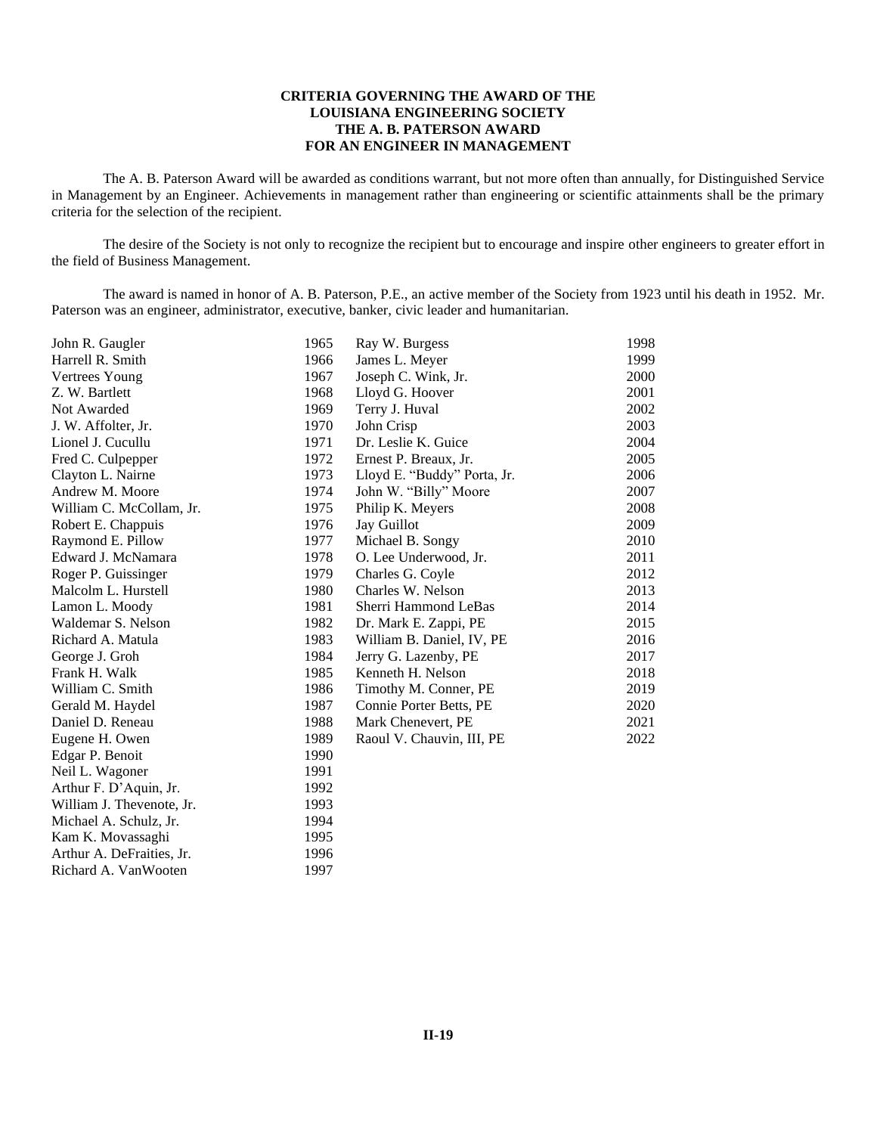# **CRITERIA GOVERNING THE AWARD OF THE LOUISIANA ENGINEERING SOCIETY THE A. B. PATERSON AWARD FOR AN ENGINEER IN MANAGEMENT**

The A. B. Paterson Award will be awarded as conditions warrant, but not more often than annually, for Distinguished Service in Management by an Engineer. Achievements in management rather than engineering or scientific attainments shall be the primary criteria for the selection of the recipient.

The desire of the Society is not only to recognize the recipient but to encourage and inspire other engineers to greater effort in the field of Business Management.

The award is named in honor of A. B. Paterson, P.E., an active member of the Society from 1923 until his death in 1952. Mr. Paterson was an engineer, administrator, executive, banker, civic leader and humanitarian.

| John R. Gaugler           | 1965 | Ray W. Burgess              | 1998 |
|---------------------------|------|-----------------------------|------|
| Harrell R. Smith          | 1966 | James L. Meyer              | 1999 |
| Vertrees Young            | 1967 | Joseph C. Wink, Jr.         | 2000 |
| Z. W. Bartlett            | 1968 | Lloyd G. Hoover             | 2001 |
| Not Awarded               | 1969 | Terry J. Huval              | 2002 |
| J. W. Affolter, Jr.       | 1970 | John Crisp                  | 2003 |
| Lionel J. Cucullu         | 1971 | Dr. Leslie K. Guice         | 2004 |
| Fred C. Culpepper         | 1972 | Ernest P. Breaux, Jr.       | 2005 |
| Clayton L. Nairne         | 1973 | Lloyd E. "Buddy" Porta, Jr. | 2006 |
| Andrew M. Moore           | 1974 | John W. "Billy" Moore       | 2007 |
| William C. McCollam, Jr.  | 1975 | Philip K. Meyers            | 2008 |
| Robert E. Chappuis        | 1976 | Jay Guillot                 | 2009 |
| Raymond E. Pillow         | 1977 | Michael B. Songy            | 2010 |
| Edward J. McNamara        | 1978 | O. Lee Underwood, Jr.       | 2011 |
| Roger P. Guissinger       | 1979 | Charles G. Coyle            | 2012 |
| Malcolm L. Hurstell       | 1980 | Charles W. Nelson           | 2013 |
| Lamon L. Moody            | 1981 | Sherri Hammond LeBas        | 2014 |
| Waldemar S. Nelson        | 1982 | Dr. Mark E. Zappi, PE       | 2015 |
| Richard A. Matula         | 1983 | William B. Daniel, IV, PE   | 2016 |
| George J. Groh            | 1984 | Jerry G. Lazenby, PE        | 2017 |
| Frank H. Walk             | 1985 | Kenneth H. Nelson           | 2018 |
| William C. Smith          | 1986 | Timothy M. Conner, PE       | 2019 |
| Gerald M. Haydel          | 1987 | Connie Porter Betts, PE     | 2020 |
| Daniel D. Reneau          | 1988 | Mark Chenevert, PE          | 2021 |
| Eugene H. Owen            | 1989 | Raoul V. Chauvin, III, PE   | 2022 |
| Edgar P. Benoit           | 1990 |                             |      |
| Neil L. Wagoner           | 1991 |                             |      |
| Arthur F. D'Aquin, Jr.    | 1992 |                             |      |
| William J. Thevenote, Jr. | 1993 |                             |      |
| Michael A. Schulz, Jr.    | 1994 |                             |      |
| Kam K. Movassaghi         | 1995 |                             |      |
| Arthur A. DeFraities, Jr. | 1996 |                             |      |
| Richard A. VanWooten      | 1997 |                             |      |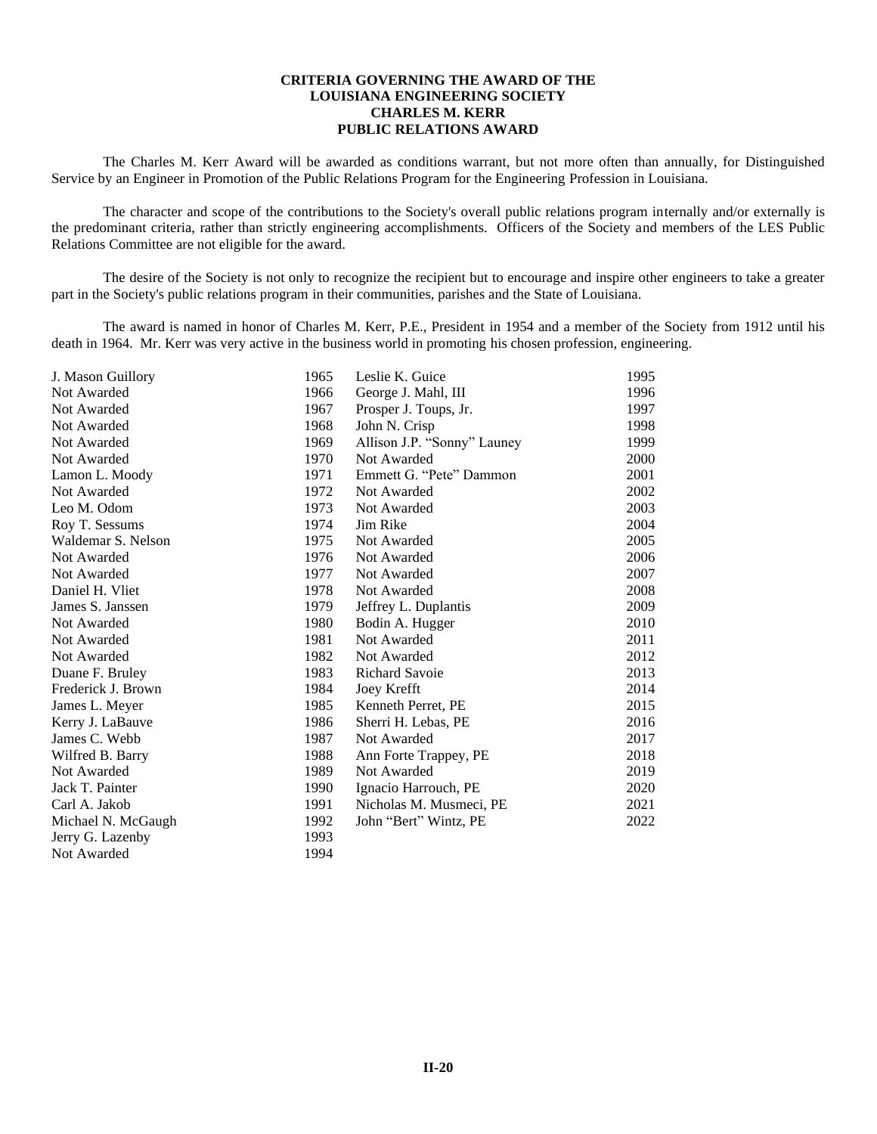## **CRITERIA GOVERNING THE AWARD OF THE LOUISIANA ENGINEERING SOCIETY CHARLES M. KERR PUBLIC RELATIONS AWARD**

The Charles M. Kerr Award will be awarded as conditions warrant, but not more often than annually, for Distinguished Service by an Engineer in Promotion of the Public Relations Program for the Engineering Profession in Louisiana.

The character and scope of the contributions to the Society's overall public relations program internally and/or externally is the predominant criteria, rather than strictly engineering accomplishments. Officers of the Society and members of the LES Public Relations Committee are not eligible for the award.

The desire of the Society is not only to recognize the recipient but to encourage and inspire other engineers to take a greater part in the Society's public relations program in their communities, parishes and the State of Louisiana.

The award is named in honor of Charles M. Kerr, P.E., President in 1954 and a member of the Society from 1912 until his death in 1964. Mr. Kerr was very active in the business world in promoting his chosen profession, engineering.

| J. Mason Guillory  | 1965 | Leslie K. Guice             | 1995 |
|--------------------|------|-----------------------------|------|
| Not Awarded        | 1966 | George J. Mahl, III         | 1996 |
| Not Awarded        | 1967 | Prosper J. Toups, Jr.       | 1997 |
| Not Awarded        | 1968 | John N. Crisp               | 1998 |
| Not Awarded        | 1969 | Allison J.P. "Sonny" Launey | 1999 |
| Not Awarded        | 1970 | Not Awarded                 | 2000 |
| Lamon L. Moody     | 1971 | Emmett G. "Pete" Dammon     | 2001 |
| Not Awarded        | 1972 | Not Awarded                 | 2002 |
| Leo M. Odom        | 1973 | Not Awarded                 | 2003 |
| Roy T. Sessums     | 1974 | Jim Rike                    | 2004 |
| Waldemar S. Nelson | 1975 | Not Awarded                 | 2005 |
| Not Awarded        | 1976 | Not Awarded                 | 2006 |
| Not Awarded        | 1977 | Not Awarded                 | 2007 |
| Daniel H. Vliet    | 1978 | Not Awarded                 | 2008 |
| James S. Janssen   | 1979 | Jeffrey L. Duplantis        | 2009 |
| Not Awarded        | 1980 | Bodin A. Hugger             | 2010 |
| Not Awarded        | 1981 | Not Awarded                 | 2011 |
| Not Awarded        | 1982 | Not Awarded                 | 2012 |
| Duane F. Bruley    | 1983 | <b>Richard Savoie</b>       | 2013 |
| Frederick J. Brown | 1984 | Joey Krefft                 | 2014 |
| James L. Meyer     | 1985 | Kenneth Perret, PE          | 2015 |
| Kerry J. LaBauve   | 1986 | Sherri H. Lebas, PE         | 2016 |
| James C. Webb      | 1987 | Not Awarded                 | 2017 |
| Wilfred B. Barry   | 1988 | Ann Forte Trappey, PE       | 2018 |
| Not Awarded        | 1989 | Not Awarded                 | 2019 |
| Jack T. Painter    | 1990 | Ignacio Harrouch, PE        | 2020 |
| Carl A. Jakob      | 1991 | Nicholas M. Musmeci, PE     | 2021 |
| Michael N. McGaugh | 1992 | John "Bert" Wintz, PE       | 2022 |
| Jerry G. Lazenby   | 1993 |                             |      |
| Not Awarded        | 1994 |                             |      |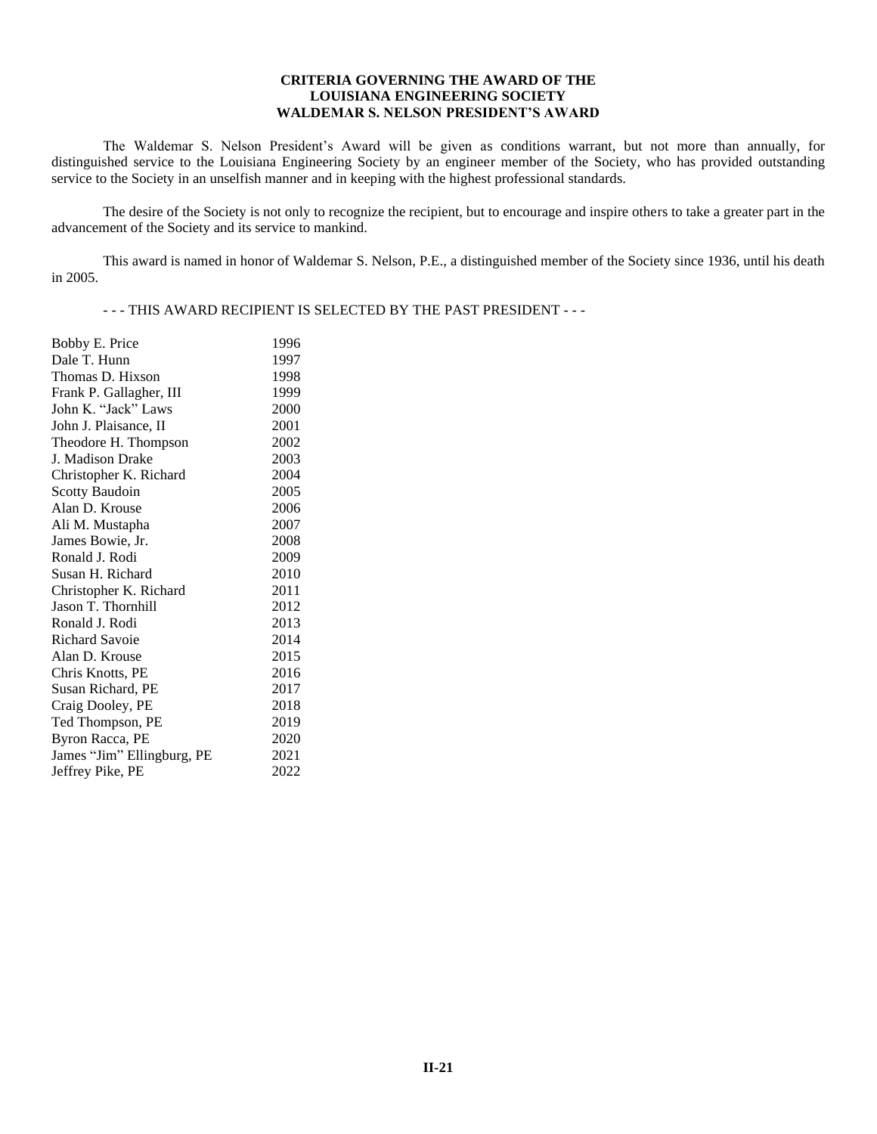## **CRITERIA GOVERNING THE AWARD OF THE LOUISIANA ENGINEERING SOCIETY WALDEMAR S. NELSON PRESIDENT'S AWARD**

The Waldemar S. Nelson President's Award will be given as conditions warrant, but not more than annually, for distinguished service to the Louisiana Engineering Society by an engineer member of the Society, who has provided outstanding service to the Society in an unselfish manner and in keeping with the highest professional standards.

The desire of the Society is not only to recognize the recipient, but to encourage and inspire others to take a greater part in the advancement of the Society and its service to mankind.

This award is named in honor of Waldemar S. Nelson, P.E., a distinguished member of the Society since 1936, until his death in 2005.

- - - THIS AWARD RECIPIENT IS SELECTED BY THE PAST PRESIDENT - - -

| Bobby E. Price             | 1996 |
|----------------------------|------|
| Dale T. Hunn               | 1997 |
| Thomas D. Hixson           | 1998 |
| Frank P. Gallagher, III    | 1999 |
| John K. "Jack" Laws        | 2000 |
| John J. Plaisance, II      | 2001 |
| Theodore H. Thompson       | 2002 |
| J. Madison Drake           | 2003 |
| Christopher K. Richard     | 2004 |
| <b>Scotty Baudoin</b>      | 2005 |
| Alan D. Krouse             | 2006 |
| Ali M. Mustapha            | 2007 |
| James Bowie, Jr.           | 2008 |
| Ronald J. Rodi             | 2009 |
| Susan H. Richard           | 2010 |
| Christopher K. Richard     | 2011 |
| Jason T. Thornhill         | 2012 |
| Ronald J. Rodi             | 2013 |
| <b>Richard Savoie</b>      | 2014 |
| Alan D. Krouse             | 2015 |
| Chris Knotts, PE           | 2016 |
| Susan Richard, PE          | 2017 |
| Craig Dooley, PE           | 2018 |
| Ted Thompson, PE           | 2019 |
| Byron Racca, PE            | 2020 |
| James "Jim" Ellingburg, PE | 2021 |
| Jeffrey Pike, PE           | 2022 |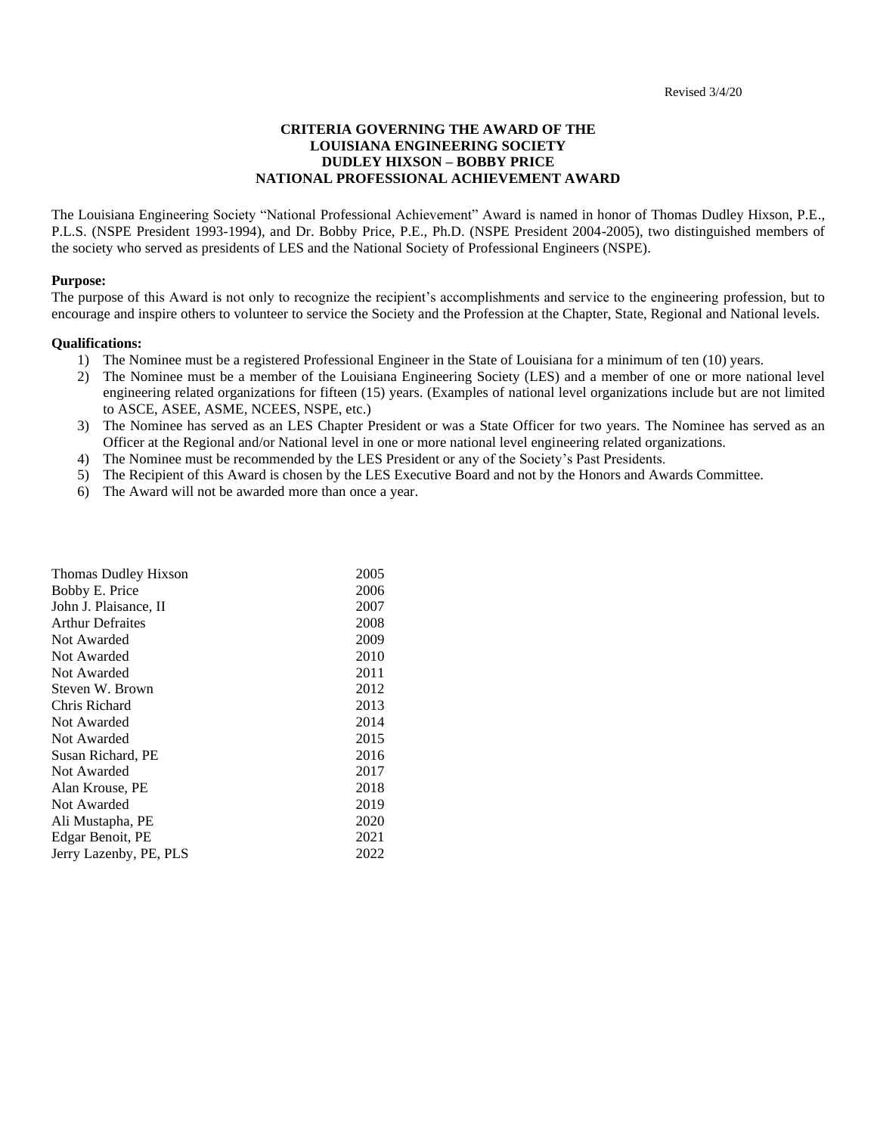# **CRITERIA GOVERNING THE AWARD OF THE LOUISIANA ENGINEERING SOCIETY DUDLEY HIXSON – BOBBY PRICE NATIONAL PROFESSIONAL ACHIEVEMENT AWARD**

The Louisiana Engineering Society "National Professional Achievement" Award is named in honor of Thomas Dudley Hixson, P.E., P.L.S. (NSPE President 1993-1994), and Dr. Bobby Price, P.E., Ph.D. (NSPE President 2004-2005), two distinguished members of the society who served as presidents of LES and the National Society of Professional Engineers (NSPE).

### **Purpose:**

The purpose of this Award is not only to recognize the recipient's accomplishments and service to the engineering profession, but to encourage and inspire others to volunteer to service the Society and the Profession at the Chapter, State, Regional and National levels.

### **Qualifications:**

- 1) The Nominee must be a registered Professional Engineer in the State of Louisiana for a minimum of ten (10) years.
- 2) The Nominee must be a member of the Louisiana Engineering Society (LES) and a member of one or more national level engineering related organizations for fifteen (15) years. (Examples of national level organizations include but are not limited to ASCE, ASEE, ASME, NCEES, NSPE, etc.)
- 3) The Nominee has served as an LES Chapter President or was a State Officer for two years. The Nominee has served as an Officer at the Regional and/or National level in one or more national level engineering related organizations.
- 4) The Nominee must be recommended by the LES President or any of the Society's Past Presidents.
- 5) The Recipient of this Award is chosen by the LES Executive Board and not by the Honors and Awards Committee.
- 6) The Award will not be awarded more than once a year.

| Thomas Dudley Hixson    | 2005 |
|-------------------------|------|
| Bobby E. Price          | 2006 |
| John J. Plaisance, II   | 2007 |
| <b>Arthur Defraites</b> | 2008 |
| Not Awarded             | 2009 |
| Not Awarded             | 2010 |
| Not Awarded             | 2011 |
| Steven W. Brown         | 2012 |
| Chris Richard           | 2013 |
| Not Awarded             | 2014 |
| Not Awarded             | 2015 |
| Susan Richard, PE       | 2016 |
| Not Awarded             | 2017 |
| Alan Krouse, PE         | 2018 |
| Not Awarded             | 2019 |
| Ali Mustapha, PE        | 2020 |
| Edgar Benoit, PE        | 2021 |
| Jerry Lazenby, PE, PLS  | 2022 |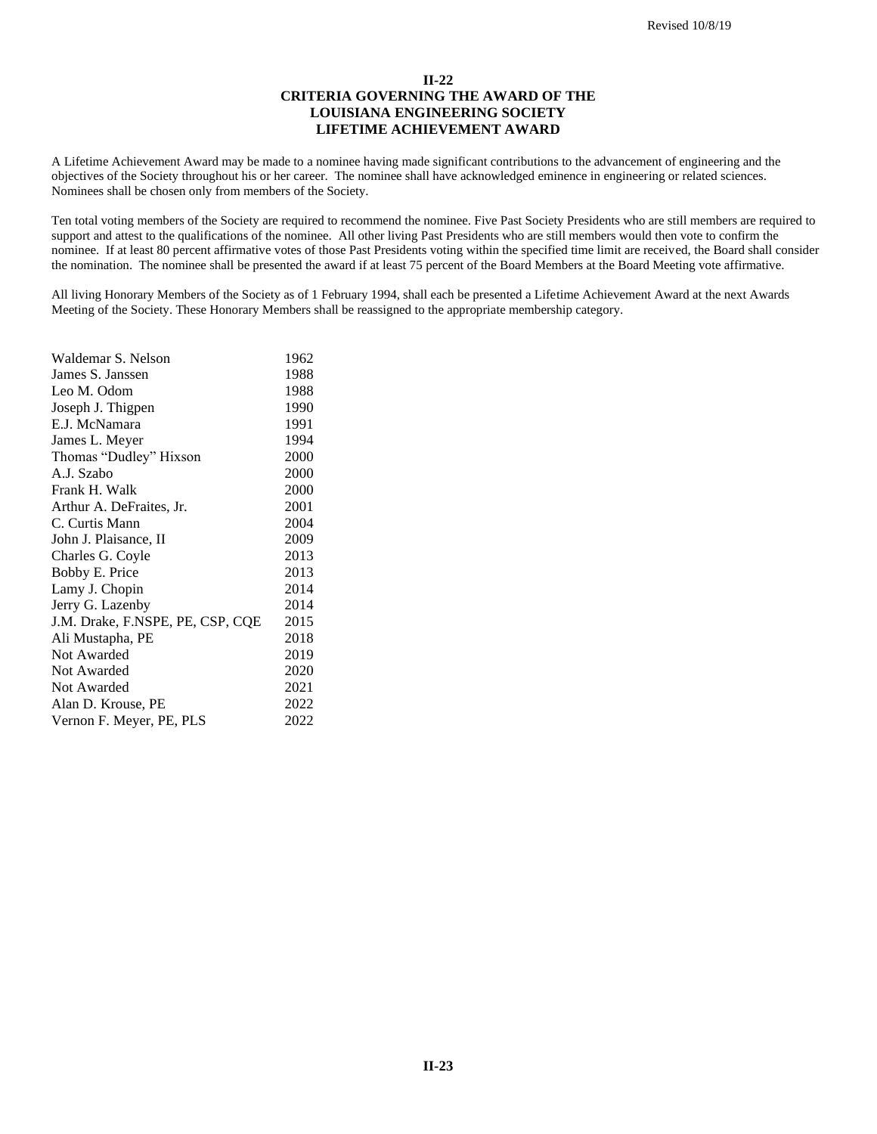# **II-22 CRITERIA GOVERNING THE AWARD OF THE LOUISIANA ENGINEERING SOCIETY LIFETIME ACHIEVEMENT AWARD**

A Lifetime Achievement Award may be made to a nominee having made significant contributions to the advancement of engineering and the objectives of the Society throughout his or her career. The nominee shall have acknowledged eminence in engineering or related sciences. Nominees shall be chosen only from members of the Society.

Ten total voting members of the Society are required to recommend the nominee. Five Past Society Presidents who are still members are required to support and attest to the qualifications of the nominee. All other living Past Presidents who are still members would then vote to confirm the nominee. If at least 80 percent affirmative votes of those Past Presidents voting within the specified time limit are received, the Board shall consider the nomination. The nominee shall be presented the award if at least 75 percent of the Board Members at the Board Meeting vote affirmative.

All living Honorary Members of the Society as of 1 February 1994, shall each be presented a Lifetime Achievement Award at the next Awards Meeting of the Society. These Honorary Members shall be reassigned to the appropriate membership category.

| Waldemar S. Nelson               | 1962 |
|----------------------------------|------|
| James S. Janssen                 | 1988 |
| Leo M. Odom                      | 1988 |
| Joseph J. Thigpen                | 1990 |
| E.J. McNamara                    | 1991 |
| James L. Meyer                   | 1994 |
| Thomas "Dudley" Hixson           | 2000 |
| A.J. Szabo                       | 2000 |
| Frank H. Walk                    | 2000 |
| Arthur A. DeFraites, Jr.         | 2001 |
| C. Curtis Mann                   | 2004 |
| John J. Plaisance, II            | 2009 |
| Charles G. Coyle                 | 2013 |
| Bobby E. Price                   | 2013 |
| Lamy J. Chopin                   | 2014 |
| Jerry G. Lazenby                 | 2014 |
| J.M. Drake, F.NSPE, PE, CSP, CQE | 2015 |
| Ali Mustapha, PE                 | 2018 |
| Not Awarded                      | 2019 |
| Not Awarded                      | 2020 |
| Not Awarded                      | 2021 |
| Alan D. Krouse, PE               | 2022 |
| Vernon F. Meyer, PE, PLS         | 2022 |
|                                  |      |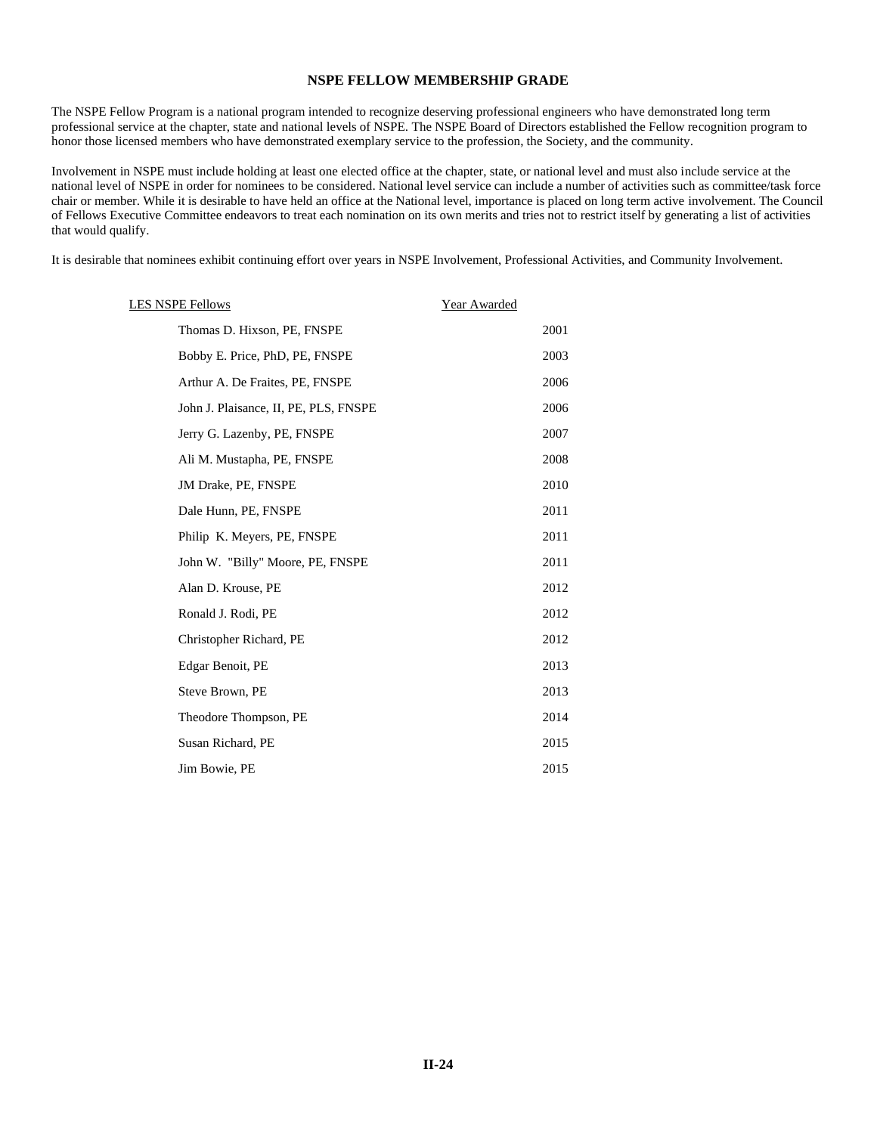### **NSPE FELLOW MEMBERSHIP GRADE**

The NSPE Fellow Program is a national program intended to recognize deserving professional engineers who have demonstrated long term professional service at the chapter, state and national levels of NSPE. The NSPE Board of Directors established the Fellow recognition program to honor those licensed members who have demonstrated exemplary service to the profession, the Society, and the community.

Involvement in NSPE must include holding at least one elected office at the chapter, state, or national level and must also include service at the national level of NSPE in order for nominees to be considered. National level service can include a number of activities such as committee/task force chair or member. While it is desirable to have held an office at the National level, importance is placed on long term active involvement. The Council of Fellows Executive Committee endeavors to treat each nomination on its own merits and tries not to restrict itself by generating a list of activities that would qualify.

It is desirable that nominees exhibit continuing effort over years in NSPE Involvement, Professional Activities, and Community Involvement.

| <b>LES NSPE Fellows</b>               | Year Awarded |
|---------------------------------------|--------------|
| Thomas D. Hixson, PE, FNSPE           | 2001         |
| Bobby E. Price, PhD, PE, FNSPE        | 2003         |
| Arthur A. De Fraites, PE, FNSPE       | 2006         |
| John J. Plaisance, II, PE, PLS, FNSPE | 2006         |
| Jerry G. Lazenby, PE, FNSPE           | 2007         |
| Ali M. Mustapha, PE, FNSPE            | 2008         |
| JM Drake, PE, FNSPE                   | 2010         |
| Dale Hunn, PE, FNSPE                  | 2011         |
| Philip K. Meyers, PE, FNSPE           | 2011         |
| John W. "Billy" Moore, PE, FNSPE      | 2011         |
| Alan D. Krouse, PE                    | 2012         |
| Ronald J. Rodi, PE                    | 2012         |
| Christopher Richard, PE               | 2012         |
| Edgar Benoit, PE                      | 2013         |
| Steve Brown, PE                       | 2013         |
| Theodore Thompson, PE                 | 2014         |
| Susan Richard, PE                     | 2015         |
| Jim Bowie, PE                         | 2015         |